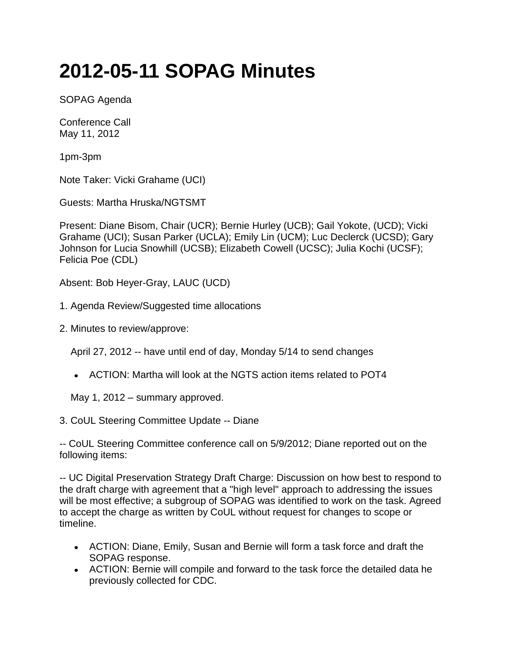## **2012-05-11 SOPAG Minutes**

SOPAG Agenda

Conference Call May 11, 2012

1pm-3pm

Note Taker: Vicki Grahame (UCI)

Guests: Martha Hruska/NGTSMT

Present: Diane Bisom, Chair (UCR); Bernie Hurley (UCB); Gail Yokote, (UCD); Vicki Grahame (UCI); Susan Parker (UCLA); Emily Lin (UCM); Luc Declerck (UCSD); Gary Johnson for Lucia Snowhill (UCSB); Elizabeth Cowell (UCSC); Julia Kochi (UCSF); Felicia Poe (CDL)

Absent: Bob Heyer-Gray, LAUC (UCD)

- 1. Agenda Review/Suggested time allocations
- 2. Minutes to review/approve:

April 27, 2012 -- have until end of day, Monday 5/14 to send changes

ACTION: Martha will look at the NGTS action items related to POT4

May 1, 2012 – summary approved.

3. CoUL Steering Committee Update -- Diane

-- CoUL Steering Committee conference call on 5/9/2012; Diane reported out on the following items:

-- UC Digital Preservation Strategy Draft Charge: Discussion on how best to respond to the draft charge with agreement that a "high level" approach to addressing the issues will be most effective; a subgroup of SOPAG was identified to work on the task. Agreed to accept the charge as written by CoUL without request for changes to scope or timeline.

- ACTION: Diane, Emily, Susan and Bernie will form a task force and draft the SOPAG response.
- ACTION: Bernie will compile and forward to the task force the detailed data he previously collected for CDC.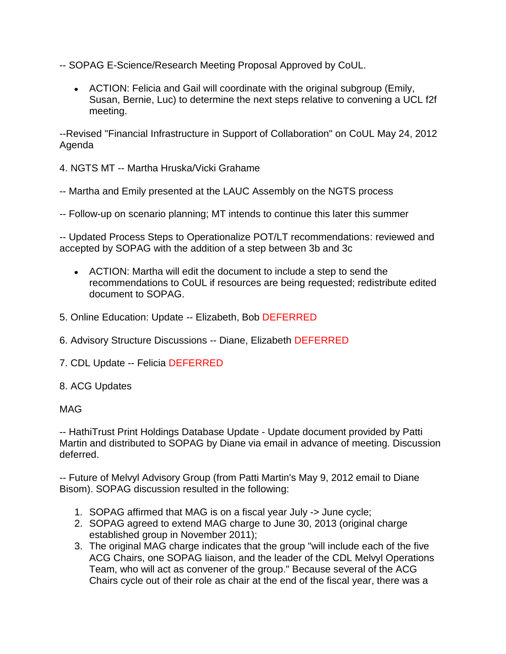- -- SOPAG E-Science/Research Meeting Proposal Approved by CoUL.
	- ACTION: Felicia and Gail will coordinate with the original subgroup (Emily, Susan, Bernie, Luc) to determine the next steps relative to convening a UCL f2f meeting.

--Revised "Financial Infrastructure in Support of Collaboration" on CoUL May 24, 2012 Agenda

4. NGTS MT -- Martha Hruska/Vicki Grahame

- -- Martha and Emily presented at the LAUC Assembly on the NGTS process
- -- Follow-up on scenario planning; MT intends to continue this later this summer

-- Updated Process Steps to Operationalize POT/LT recommendations: reviewed and accepted by SOPAG with the addition of a step between 3b and 3c

- ACTION: Martha will edit the document to include a step to send the recommendations to CoUL if resources are being requested; redistribute edited document to SOPAG.
- 5. Online Education: Update -- Elizabeth, Bob DEFERRED
- 6. Advisory Structure Discussions -- Diane, Elizabeth DEFERRED
- 7. CDL Update -- Felicia DEFERRED
- 8. ACG Updates

## MAG

-- HathiTrust Print Holdings Database Update - Update document provided by Patti Martin and distributed to SOPAG by Diane via email in advance of meeting. Discussion deferred.

-- Future of Melvyl Advisory Group (from Patti Martin's May 9, 2012 email to Diane Bisom). SOPAG discussion resulted in the following:

- 1. SOPAG affirmed that MAG is on a fiscal year July -> June cycle;
- 2. SOPAG agreed to extend MAG charge to June 30, 2013 (original charge established group in November 2011);
- 3. The original MAG charge indicates that the group "will include each of the five ACG Chairs, one SOPAG liaison, and the leader of the CDL Melvyl Operations Team, who will act as convener of the group." Because several of the ACG Chairs cycle out of their role as chair at the end of the fiscal year, there was a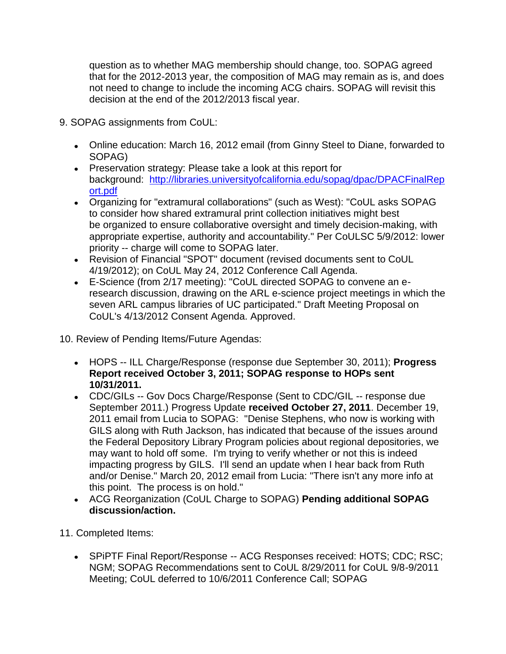question as to whether MAG membership should change, too. SOPAG agreed that for the 2012-2013 year, the composition of MAG may remain as is, and does not need to change to include the incoming ACG chairs. SOPAG will revisit this decision at the end of the 2012/2013 fiscal year.

- 9. SOPAG assignments from CoUL:
	- Online education: March 16, 2012 email (from Ginny Steel to Diane, forwarded to SOPAG)
	- Preservation strategy: Please take a look at this report for background: [http://libraries.universityofcalifornia.edu/sopag/dpac/DPACFinalRep](http://libraries.universityofcalifornia.edu/sopag/dpac/DPACFinalReport.pdf) [ort.pdf](http://libraries.universityofcalifornia.edu/sopag/dpac/DPACFinalReport.pdf)
	- Organizing for "extramural collaborations" (such as West): "CoUL asks SOPAG to consider how shared extramural print collection initiatives might best be organized to ensure collaborative oversight and timely decision-making, with appropriate expertise, authority and accountability." Per CoULSC 5/9/2012: lower priority -- charge will come to SOPAG later.
	- Revision of Financial "SPOT" document (revised documents sent to CoUL 4/19/2012); on CoUL May 24, 2012 Conference Call Agenda.
	- E-Science (from 2/17 meeting): "CoUL directed SOPAG to convene an eresearch discussion, drawing on the ARL e-science project meetings in which the seven ARL campus libraries of UC participated." Draft Meeting Proposal on CoUL's 4/13/2012 Consent Agenda. Approved.

10. Review of Pending Items/Future Agendas:

- HOPS -- ILL Charge/Response (response due September 30, 2011); **Progress Report received October 3, 2011; SOPAG response to HOPs sent 10/31/2011.**
- CDC/GILs -- Gov Docs Charge/Response (Sent to CDC/GIL -- response due September 2011.) Progress Update **received October 27, 2011**. December 19, 2011 email from Lucia to SOPAG: "Denise Stephens, who now is working with GILS along with Ruth Jackson, has indicated that because of the issues around the Federal Depository Library Program policies about regional depositories, we may want to hold off some. I'm trying to verify whether or not this is indeed impacting progress by GILS. I'll send an update when I hear back from Ruth and/or Denise." March 20, 2012 email from Lucia: "There isn't any more info at this point. The process is on hold."
- ACG Reorganization (CoUL Charge to SOPAG) **Pending additional SOPAG discussion/action.**

11. Completed Items:

• SPIPTF Final Report/Response -- ACG Responses received: HOTS; CDC; RSC; NGM; SOPAG Recommendations sent to CoUL 8/29/2011 for CoUL 9/8-9/2011 Meeting; CoUL deferred to 10/6/2011 Conference Call; SOPAG